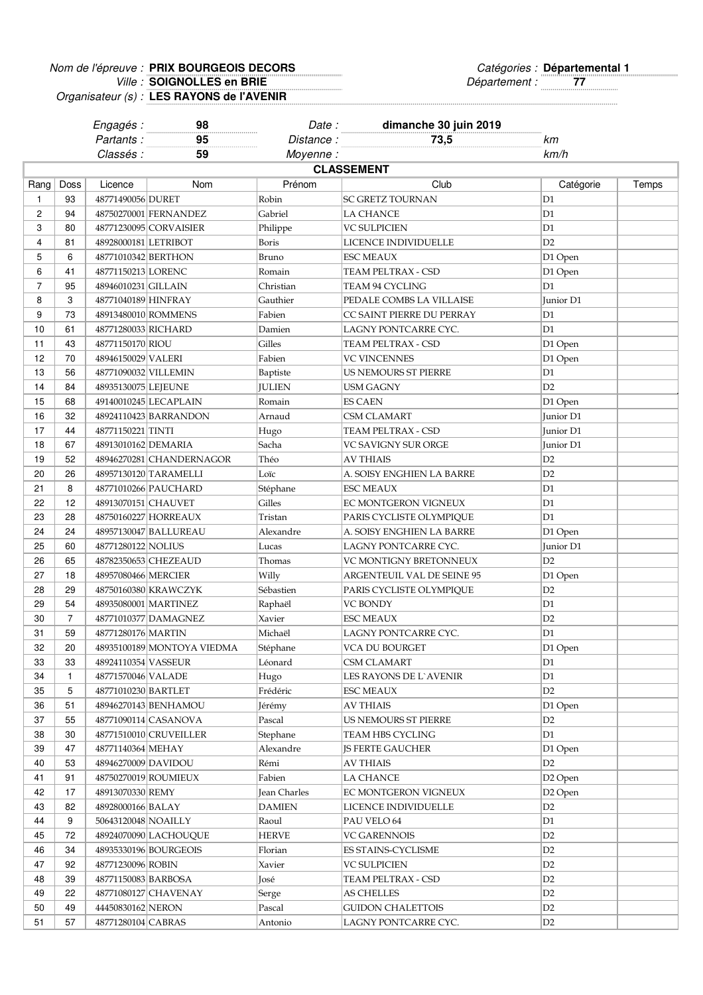## Nom de l'épreuve : PRIX BOURGEOIS DECORS et anonyment de l'épreuve : Catégories : Ville : **SOIGNOLLES en BRIE** *Reserved Exercise SOIGNOLLES RIE* **PRIX BOURGEOIS DECORS Départemental 1 SOIGNOLLES en BRIE**

Organisateur (s) : **LES RAYONS de l'AVENIR**

|                |                | Engagés :                                | 98                         | Date:        | dimanche 30 juin 2019      |                      |       |  |  |
|----------------|----------------|------------------------------------------|----------------------------|--------------|----------------------------|----------------------|-------|--|--|
|                |                | Partants:                                | 95                         | Distance :   | 73,5                       | kт                   |       |  |  |
|                |                | Classés :                                | 59                         | Moyenne:     |                            | km/h                 |       |  |  |
|                |                | <b>CLASSEMENT</b>                        |                            |              |                            |                      |       |  |  |
| Rang           | Doss           | Licence                                  | Nom                        | Prénom       | Club                       | Catégorie            | Temps |  |  |
| 1              | 93             | 48771490056 DURET                        |                            | Robin        | <b>SC GRETZ TOURNAN</b>    | D1                   |       |  |  |
| 2              | 94             |                                          | 48750270001 FERNANDEZ      | Gabriel      | <b>LA CHANCE</b>           | D1                   |       |  |  |
| 3              | 80             |                                          | 48771230095 CORVAISIER     | Philippe     | <b>VC SULPICIEN</b>        | D1                   |       |  |  |
| 4              | 81             | 48928000181 LETRIBOT                     |                            | Boris        | LICENCE INDIVIDUELLE       | D2                   |       |  |  |
| 5              | 6              | 48771010342 BERTHON                      |                            | Bruno        | <b>ESC MEAUX</b>           | D1 Open              |       |  |  |
| 6              | 41             | 48771150213 LORENC                       |                            | Romain       | TEAM PELTRAX - CSD         | D1 Open              |       |  |  |
| $\overline{7}$ |                |                                          |                            |              | TEAM 94 CYCLING            | D1                   |       |  |  |
|                | 95             | 48946010231 GILLAIN                      |                            | Christian    |                            |                      |       |  |  |
| 8              | 3              | 48771040189 HINFRAY                      |                            | Gauthier     | PEDALE COMBS LA VILLAISE   | Junior D1            |       |  |  |
| 9              | 73             | 48913480010 ROMMENS                      |                            | Fabien       | CC SAINT PIERRE DU PERRAY  | D1                   |       |  |  |
| 10             | 61             | 48771280033 RICHARD                      |                            | Damien       | LAGNY PONTCARRE CYC.       | D1                   |       |  |  |
| 11             | 43             | 48771150170 RIOU                         |                            | Gilles       | TEAM PELTRAX - CSD         | D1 Open              |       |  |  |
| 12             | 70             | 48946150029 VALERI                       |                            | Fabien       | <b>VC VINCENNES</b>        | D1 Open              |       |  |  |
| 13             | 56             | 48771090032 VILLEMIN                     |                            | Baptiste     | US NEMOURS ST PIERRE       | D1                   |       |  |  |
| 14             | 84             | 48935130075 LEJEUNE                      |                            | JULIEN       | <b>USM GAGNY</b>           | D2                   |       |  |  |
| 15             | 68             |                                          | 49140010245 LECAPLAIN      | Romain       | <b>ES CAEN</b>             | D1 Open              |       |  |  |
| 16             | 32             |                                          | 48924110423 BARRANDON      | Arnaud       | CSM CLAMART                | Junior D1            |       |  |  |
| 17             | 44             | 48771150221 TINTI                        |                            | Hugo         | TEAM PELTRAX - CSD         | Junior D1            |       |  |  |
| 18             | 67             | 48913010162 DEMARIA                      |                            | Sacha        | VC SAVIGNY SUR ORGE        | Junior D1            |       |  |  |
| 19             | 52             |                                          | 48946270281 CHANDERNAGOR   | Théo         | AV THIAIS                  | D2                   |       |  |  |
| 20             | 26             |                                          | 48957130120 TARAMELLI      | Loïc         | A. SOISY ENGHIEN LA BARRE  | D2                   |       |  |  |
| 21             | 8              |                                          | 48771010266 PAUCHARD       | Stéphane     | ESC MEAUX                  | D <sub>1</sub>       |       |  |  |
| 22             | 12             | 48913070151 CHAUVET                      |                            | Gilles       | EC MONTGERON VIGNEUX       | D <sub>1</sub>       |       |  |  |
| 23             | 28             |                                          | 48750160227 HORREAUX       | Tristan      | PARIS CYCLISTE OLYMPIQUE   | D <sub>1</sub>       |       |  |  |
| 24             | 24             |                                          | 48957130047 BALLUREAU      | Alexandre    | A. SOISY ENGHIEN LA BARRE  | D1 Open              |       |  |  |
| 25             | 60             | 48771280122 NOLIUS                       |                            | Lucas        | LAGNY PONTCARRE CYC.       | Junior D1            |       |  |  |
| 26             | 65             |                                          | 48782350653 CHEZEAUD       | Thomas       | VC MONTIGNY BRETONNEUX     | D2                   |       |  |  |
| 27             | 18             | 48957080466 MERCIER                      |                            | Willy        | ARGENTEUIL VAL DE SEINE 95 | D1 Open              |       |  |  |
| 28             | 29             |                                          | 48750160380 KRAWCZYK       | Sébastien    | PARIS CYCLISTE OLYMPIQUE   | D2                   |       |  |  |
| 29             | 54             |                                          | 48935080001 MARTINEZ       | Raphaël      | <b>VC BONDY</b>            | D1                   |       |  |  |
| 30             | $\overline{7}$ |                                          | 48771010377 DAMAGNEZ       | Xavier       | <b>ESC MEAUX</b>           | D2                   |       |  |  |
| 31             | 59             | 48771280176 MARTIN                       |                            | Michaël      | LAGNY PONTCARRE CYC.       | D1                   |       |  |  |
| 32             | $20\,$         |                                          | 48935100189 MONTOYA VIEDMA | Stéphane     | VCA DU BOURGET             | D1 Open              |       |  |  |
| 33             | 33             | 48924110354 VASSEUR                      |                            | Léonard      | CSM CLAMART                | D1                   |       |  |  |
| 34             | $\mathbf{1}$   | 48771570046 VALADE                       |                            | Hugo         | LES RAYONS DE L'AVENIR     | D1                   |       |  |  |
| 35             | 5              | 48771010230 BARTLET                      |                            | Frédéric     | ESC MEAUX                  | D2                   |       |  |  |
| 36             | 51             |                                          | 48946270143 BENHAMOU       | Jérémy       | AV THIAIS                  | D1 Open              |       |  |  |
| 37             | 55             |                                          | 48771090114 CASANOVA       | Pascal       | US NEMOURS ST PIERRE       | D <sub>2</sub>       |       |  |  |
| 38             | 30             |                                          | 48771510010 CRUVEILLER     | Stephane     | TEAM HBS CYCLING           | D1                   |       |  |  |
| 39             | 47             | 48771140364 MEHAY                        |                            | Alexandre    | <b>JS FERTE GAUCHER</b>    | D1 Open              |       |  |  |
| 40             | 53             | 48946270009 DAVIDOU                      |                            | Rémi         | <b>AV THIAIS</b>           | D <sub>2</sub>       |       |  |  |
| 41             | 91             |                                          | 48750270019 ROUMIEUX       | Fabien       | <b>LA CHANCE</b>           | D2 Open              |       |  |  |
| 42             | 17             | 48913070330 REMY                         |                            | Jean Charles | EC MONTGERON VIGNEUX       | D <sub>2</sub> Open  |       |  |  |
| 43             | 82             |                                          |                            |              |                            |                      |       |  |  |
|                | 9              | 48928000166 BALAY<br>50643120048 NOAILLY |                            | DAMIEN       | LICENCE INDIVIDUELLE       | D <sub>2</sub><br>D1 |       |  |  |
| 44             |                |                                          |                            | Raoul        | PAU VELO 64                |                      |       |  |  |
| 45             | 72             |                                          | 48924070090 LACHOUQUE      | HERVE        | VC GARENNOIS               | D2                   |       |  |  |
| 46             | 34             |                                          | 48935330196 BOURGEOIS      | Florian      | ES STAINS-CYCLISME         | D2                   |       |  |  |
| 47             | 92             | 48771230096 ROBIN                        |                            | Xavier       | VC SULPICIEN               | D2                   |       |  |  |
| 48             | 39             | 48771150083 BARBOSA                      |                            | José         | TEAM PELTRAX - CSD         | D2                   |       |  |  |
| 49             | 22             |                                          | 48771080127 CHAVENAY       | Serge        | AS CHELLES                 | D2                   |       |  |  |
| 50             | 49             | 44450830162 NERON                        |                            | Pascal       | <b>GUIDON CHALETTOIS</b>   | D2                   |       |  |  |
| 51             | 57             | 48771280104 CABRAS                       |                            | Antonio      | LAGNY PONTCARRE CYC.       | D2                   |       |  |  |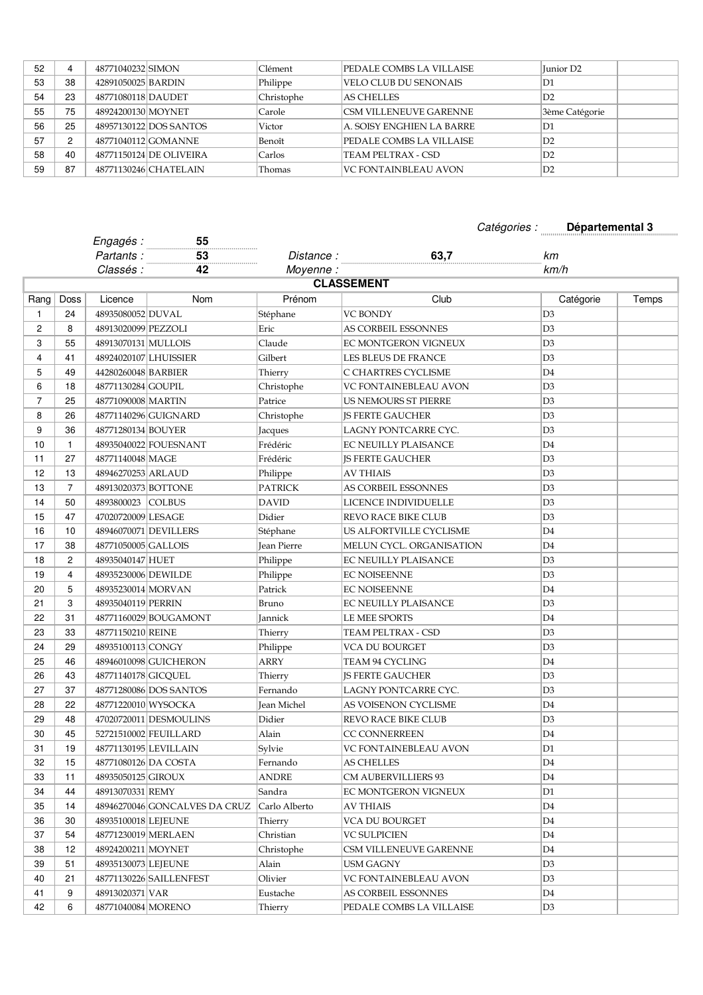| 52 |    | 48771040232 SIMON  |                         | Clément    | PEDALE COMBS LA VILLAISE      | Iunior D <sub>2</sub> |
|----|----|--------------------|-------------------------|------------|-------------------------------|-----------------------|
| 53 | 38 | 42891050025 BARDIN |                         | Philippe   | VELO CLUB DU SENONAIS         | D1                    |
| 54 | 23 | 48771080118 DAUDET |                         | Christophe | <b>AS CHELLES</b>             | D2                    |
| 55 | 75 | 48924200130 MOYNET |                         | Carole     | <b>CSM VILLENEUVE GARENNE</b> | 3ème Catégorie        |
| 56 | 25 |                    | 48957130122 DOS SANTOS  | Victor     | A. SOISY ENGHIEN LA BARRE     | D1                    |
| 57 | 2  |                    | 48771040112 GOMANNE     | Benoît     | PEDALE COMBS LA VILLAISE      | ID2                   |
| 58 | 40 |                    | 48771150124 DE OLIVEIRA | Carlos     | TEAM PELTRAX - CSD            | D2                    |
| 59 | 87 |                    | 48771130246 CHATELAIN   | Thomas     | VC FONTAINBLEAU AVON          | $\mathbb{D}2$         |

## Catégories : **Départemental 3**

|                |                | Engagés:              | 55                            |               |                              |                |       |
|----------------|----------------|-----------------------|-------------------------------|---------------|------------------------------|----------------|-------|
|                |                | Partants:             | 53<br>.                       | Distance:     | 63,7                         | km             |       |
|                |                | Classés :             | 42                            | Moyenne:      |                              | km/h           |       |
|                |                |                       |                               |               | <b>CLASSEMENT</b>            |                |       |
| Rang           | Doss           | Licence               | Nom                           | Prénom        | Club                         | Catégorie      | Temps |
| 1              | 24             | 48935080052 DUVAL     |                               | Stéphane      | <b>VC BONDY</b>              | D <sub>3</sub> |       |
| 2              | 8              | 48913020099 PEZZOLI   |                               | Eric          | AS CORBEIL ESSONNES          | D3             |       |
| 3              | 55             | 48913070131 MULLOIS   |                               | Claude        | EC MONTGERON VIGNEUX         | D3             |       |
| $\overline{4}$ | 41             | 48924020107 LHUISSIER |                               | Gilbert       | LES BLEUS DE FRANCE          | D3             |       |
| 5              | 49             | 44280260048 BARBIER   |                               | Thierry       | C CHARTRES CYCLISME          | D <sub>4</sub> |       |
| 6              | 18             | 48771130284 GOUPIL    |                               | Christophe    | <b>VC FONTAINEBLEAU AVON</b> | D <sub>3</sub> |       |
| 7              | 25             | 48771090008 MARTIN    |                               | Patrice       | US NEMOURS ST PIERRE         | D3             |       |
| 8              | 26             |                       | 48771140296 GUIGNARD          | Christophe    | <b>JS FERTE GAUCHER</b>      | D3             |       |
| 9              | 36             | 48771280134 BOUYER    |                               | Jacques       | LAGNY PONTCARRE CYC.         | D <sub>3</sub> |       |
| 10             | $\mathbf{1}$   |                       | 48935040022 FOUESNANT         | Frédéric      | <b>EC NEUILLY PLAISANCE</b>  | D4             |       |
| 11             | 27             | 48771140048 MAGE      |                               | Frédéric      | <b>IS FERTE GAUCHER</b>      | D <sub>3</sub> |       |
| 12             | 13             | 48946270253 ARLAUD    |                               | Philippe      | AV THIAIS                    | D <sub>3</sub> |       |
| 13             | $\overline{7}$ | 48913020373 BOTTONE   |                               | PATRICK       | AS CORBEIL ESSONNES          | D <sub>3</sub> |       |
| 14             | 50             | 4893800023 COLBUS     |                               | DAVID         | LICENCE INDIVIDUELLE         | D <sub>3</sub> |       |
| 15             | 47             | 47020720009 LESAGE    |                               | Didier        | REVO RACE BIKE CLUB          | D3             |       |
| 16             | 10             |                       | 48946070071 DEVILLERS         | Stéphane      | US ALFORTVILLE CYCLISME      | D <sub>4</sub> |       |
| 17             | 38             | 48771050005 GALLOIS   |                               | Jean Pierre   | MELUN CYCL. ORGANISATION     | D <sub>4</sub> |       |
| 18             | 2              | 48935040147 HUET      |                               | Philippe      | <b>EC NEUILLY PLAISANCE</b>  | D <sub>3</sub> |       |
| 19             | 4              | 48935230006 DEWILDE   |                               | Philippe      | <b>EC NOISEENNE</b>          | D3             |       |
| 20             | 5              | 48935230014 MORVAN    |                               | Patrick       | <b>EC NOISEENNE</b>          | D <sub>4</sub> |       |
| 21             | 3              | 48935040119 PERRIN    |                               | Bruno         | <b>EC NEUILLY PLAISANCE</b>  | D <sub>3</sub> |       |
| 22             | 31             |                       | 48771160029 BOUGAMONT         | Jannick       | LE MEE SPORTS                | D <sub>4</sub> |       |
| 23             | 33             | 48771150210 REINE     |                               | Thierry       | TEAM PELTRAX - CSD           | D <sub>3</sub> |       |
| 24             | 29             | 48935100113 CONGY     |                               | Philippe      | VCA DU BOURGET               | D <sub>3</sub> |       |
| 25             | 46             |                       | 48946010098 GUICHERON         | <b>ARRY</b>   | TEAM 94 CYCLING              | D <sub>4</sub> |       |
| 26             | 43             | 48771140178 GICQUEL   |                               | Thierry       | <b>JS FERTE GAUCHER</b>      | D <sub>3</sub> |       |
| 27             | 37             |                       | 48771280086 DOS SANTOS        | Fernando      | LAGNY PONTCARRE CYC.         | D3             |       |
| 28             | 22             | 48771220010 WYSOCKA   |                               | Jean Michel   | AS VOISENON CYCLISME         | D4             |       |
| 29             | 48             |                       | 47020720011 DESMOULINS        | Didier        | REVO RACE BIKE CLUB          | D3             |       |
| 30             | 45             |                       | 52721510002 FEUILLARD         | Alain         | <b>CC CONNERREEN</b>         | D4             |       |
| 31             | 19             | 48771130195 LEVILLAIN |                               | Sylvie        | <b>VC FONTAINEBLEAU AVON</b> | D <sub>1</sub> |       |
| 32             | 15             | 48771080126 DA COSTA  |                               | Fernando      | <b>AS CHELLES</b>            | D4             |       |
| 33             | 11             | 48935050125 GIROUX    |                               | ANDRE         | CM AUBERVILLIERS 93          | D4             |       |
| 34             | 44             | 48913070331 REMY      |                               | Sandra        | EC MONTGERON VIGNEUX         | D1             |       |
| 35             | 14             |                       | 48946270046 GONCALVES DA CRUZ | Carlo Alberto | AV THIAIS                    | D4             |       |
| 36             | 30             | 48935100018 LEJEUNE   |                               | Thierry       | VCA DU BOURGET               | D4             |       |
| 37             | 54             | 48771230019 MERLAEN   |                               | Christian     | VC SULPICIEN                 | D4             |       |
| 38             | 12             | 48924200211 MOYNET    |                               | Christophe    | CSM VILLENEUVE GARENNE       | D4             |       |
| 39             | 51             | 48935130073 LEJEUNE   |                               | Alain         | USM GAGNY                    | D3             |       |
| 40             | 21             |                       | 48771130226 SAILLENFEST       | Olivier       | VC FONTAINEBLEAU AVON        | D3             |       |
| 41             | 9              | 48913020371 VAR       |                               | Eustache      | AS CORBEIL ESSONNES          | D4             |       |
| 42             | 6              | 48771040084 MORENO    |                               | Thierry       | PEDALE COMBS LA VILLAISE     | D3             |       |